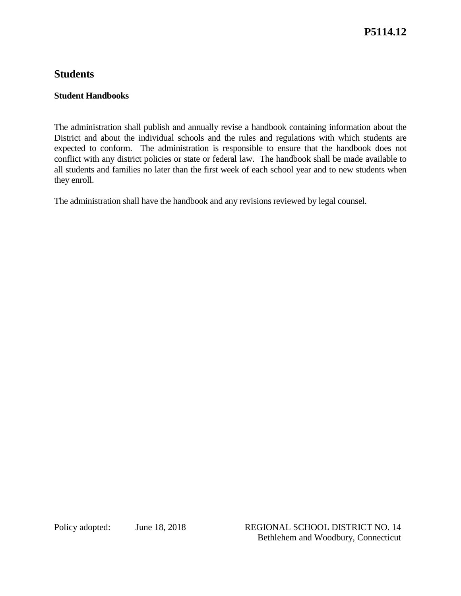## **Students**

## **Student Handbooks**

The administration shall publish and annually revise a handbook containing information about the District and about the individual schools and the rules and regulations with which students are expected to conform. The administration is responsible to ensure that the handbook does not conflict with any district policies or state or federal law. The handbook shall be made available to all students and families no later than the first week of each school year and to new students when they enroll.

The administration shall have the handbook and any revisions reviewed by legal counsel.